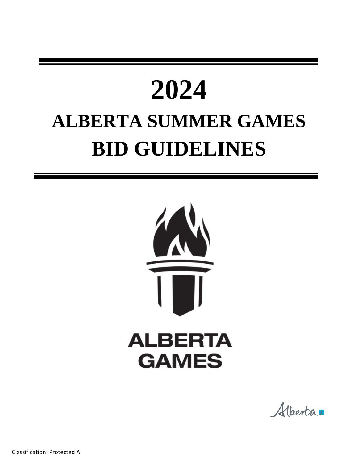# **2024 ALBERTA SUMMER GAMES BID GUIDELINES**



Alberta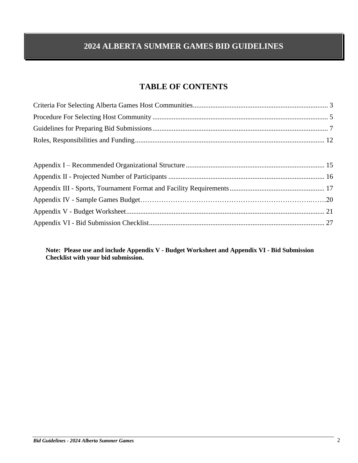# **2024 ALBERTA SUMMER GAMES BID GUIDELINES**

# **TABLE OF CONTENTS**

**Note: Please use and include Appendix V - Budget Worksheet and Appendix VI - Bid Submission Checklist with your bid submission.**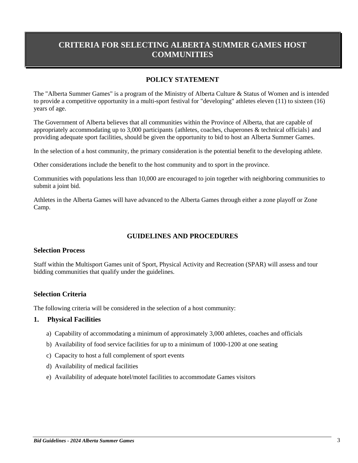# **CRITERIA FOR SELECTING ALBERTA SUMMER GAMES HOST COMMUNITIES**

# **POLICY STATEMENT**

The "Alberta Summer Games" is a program of the Ministry of Alberta Culture & Status of Women and is intended to provide a competitive opportunity in a multi-sport festival for "developing" athletes eleven (11) to sixteen (16) years of age.

The Government of Alberta believes that all communities within the Province of Alberta, that are capable of appropriately accommodating up to 3,000 participants {athletes, coaches, chaperones & technical officials} and providing adequate sport facilities, should be given the opportunity to bid to host an Alberta Summer Games.

In the selection of a host community, the primary consideration is the potential benefit to the developing athlete.

Other considerations include the benefit to the host community and to sport in the province.

Communities with populations less than 10,000 are encouraged to join together with neighboring communities to submit a joint bid.

Athletes in the Alberta Games will have advanced to the Alberta Games through either a zone playoff or Zone Camp.

## **GUIDELINES AND PROCEDURES**

#### **Selection Process**

Staff within the Multisport Games unit of Sport, Physical Activity and Recreation (SPAR) will assess and tour bidding communities that qualify under the guidelines.

## **Selection Criteria**

The following criteria will be considered in the selection of a host community:

#### **1. Physical Facilities**

- a) Capability of accommodating a minimum of approximately 3,000 athletes, coaches and officials
- b) Availability of food service facilities for up to a minimum of 1000-1200 at one seating
- c) Capacity to host a full complement of sport events
- d) Availability of medical facilities
- e) Availability of adequate hotel/motel facilities to accommodate Games visitors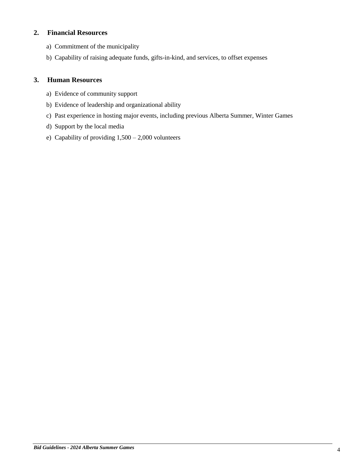# **2. Financial Resources**

- a) Commitment of the municipality
- b) Capability of raising adequate funds, gifts-in-kind, and services, to offset expenses

# **3. Human Resources**

- a) Evidence of community support
- b) Evidence of leadership and organizational ability
- c) Past experience in hosting major events, including previous Alberta Summer, Winter Games
- d) Support by the local media
- e) Capability of providing  $1,500 2,000$  volunteers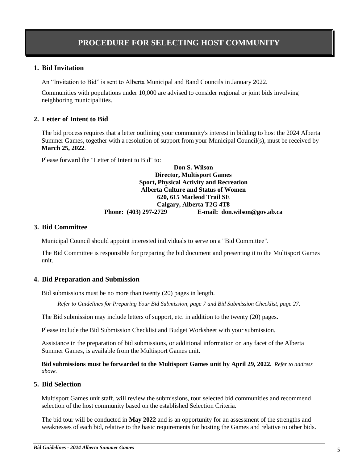# **1. Bid Invitation**

An "Invitation to Bid" is sent to Alberta Municipal and Band Councils in January 2022.

Communities with populations under 10,000 are advised to consider regional or joint bids involving neighboring municipalities.

# **2. Letter of Intent to Bid**

The bid process requires that a letter outlining your community's interest in bidding to host the 2024 Alberta Summer Games, together with a resolution of support from your Municipal Council(s), must be received by **March 25, 2022**.

Please forward the "Letter of Intent to Bid" to:

**Don S. Wilson Director, Multisport Games Sport, Physical Activity and Recreation Alberta Culture and Status of Women 620, 615 Macleod Trail SE Calgary, Alberta T2G 4T8 Phone: (403) 297-2729 E-mail: don.wilson@gov.ab.ca**

## **3. Bid Committee**

Municipal Council should appoint interested individuals to serve on a "Bid Committee".

The Bid Committee is responsible for preparing the bid document and presenting it to the Multisport Games unit.

# **4. Bid Preparation and Submission**

Bid submissions must be no more than twenty (20) pages in length.

*Refer to Guidelines for Preparing Your Bid Submission, page [7](#page-6-0) and Bid Submission Checklist, page [27.](#page-26-0)*

The Bid submission may include letters of support, etc. in addition to the twenty (20) pages.

Please include the Bid Submission Checklist and Budget Worksheet with your submission.

Assistance in the preparation of bid submissions, or additional information on any facet of the Alberta Summer Games, is available from the Multisport Games unit.

**Bid submissions must be forwarded to the Multisport Games unit by April 29, 2022.** *Refer to address above.*

# **5. Bid Selection**

Multisport Games unit staff, will review the submissions, tour selected bid communities and recommend selection of the host community based on the established Selection Criteria.

The bid tour will be conducted in **May 2022** and is an opportunity for an assessment of the strengths and weaknesses of each bid, relative to the basic requirements for hosting the Games and relative to other bids.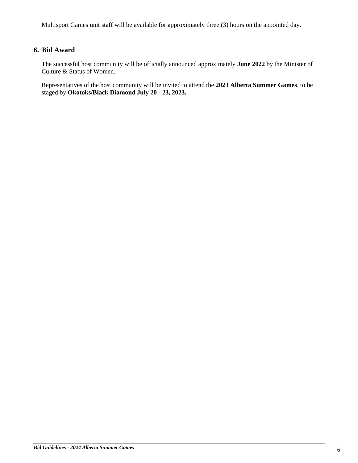Multisport Games unit staff will be available for approximately three (3) hours on the appointed day.

# **6. Bid Award**

The successful host community will be officially announced approximately **June 2022** by the Minister of Culture & Status of Women.

Representatives of the host community will be invited to attend the **2023 Alberta Summer Games**, to be staged by **Okotoks/Black Diamond July 20 - 23, 2023.**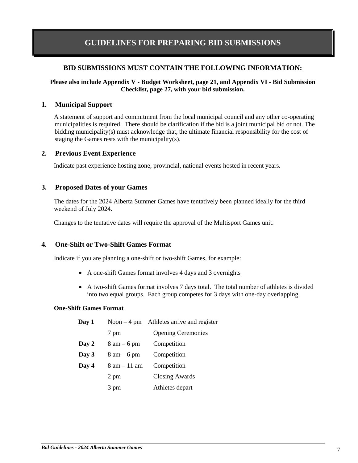# <span id="page-6-0"></span>**GUIDELINES FOR PREPARING BID SUBMISSIONS**

## **BID SUBMISSIONS MUST CONTAIN THE FOLLOWING INFORMATION:**

#### **Please also include Appendix V - Budget Worksheet, page 21, and Appendix VI - Bid Submission Checklist, page [27,](#page-26-0) with your bid submission.**

#### **1. Municipal Support**

A statement of support and commitment from the local municipal council and any other co-operating municipalities is required. There should be clarification if the bid is a joint municipal bid or not. The bidding municipality(s) must acknowledge that, the ultimate financial responsibility for the cost of staging the Games rests with the municipality(s).

#### **2. Previous Event Experience**

Indicate past experience hosting zone, provincial, national events hosted in recent years.

#### **3. Proposed Dates of your Games**

The dates for the 2024 Alberta Summer Games have tentatively been planned ideally for the third weekend of July 2024.

Changes to the tentative dates will require the approval of the Multisport Games unit.

#### **4. One-Shift or Two-Shift Games Format**

Indicate if you are planning a one-shift or two-shift Games, for example:

- A one-shift Games format involves 4 days and 3 overnights
- A two-shift Games format involves 7 days total. The total number of athletes is divided into two equal groups. Each group competes for 3 days with one-day overlapping.

#### **One-Shift Games Format**

| Day 1 |                                | Noon $-4$ pm Athletes arrive and register |
|-------|--------------------------------|-------------------------------------------|
|       | 7 pm                           | <b>Opening Ceremonies</b>                 |
| Day 2 | $8 \text{ am} - 6 \text{ pm}$  | Competition                               |
| Day 3 | $8 \text{ am} - 6 \text{ pm}$  | Competition                               |
| Day 4 | $8 \text{ am} - 11 \text{ am}$ | Competition                               |
|       | 2 pm                           | <b>Closing Awards</b>                     |
|       | 3 pm                           | Athletes depart                           |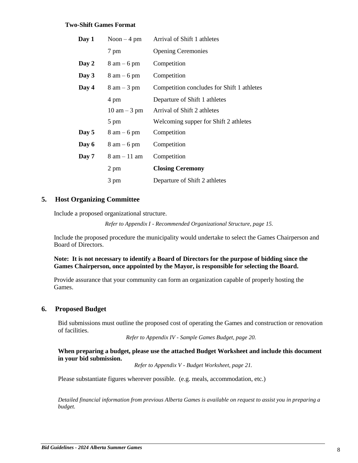#### **Two-Shift Games Format**

| Day 1 | Noon $-4$ pm                   | Arrival of Shift 1 athletes                |
|-------|--------------------------------|--------------------------------------------|
|       | 7 pm                           | <b>Opening Ceremonies</b>                  |
| Day 2 | $8 \text{ am} - 6 \text{ pm}$  | Competition                                |
| Day 3 | $8 \text{ am} - 6 \text{ pm}$  | Competition                                |
| Day 4 | $8 \text{ am} - 3 \text{ pm}$  | Competition concludes for Shift 1 athletes |
|       | 4 pm                           | Departure of Shift 1 athletes              |
|       | $10 \text{ am} - 3 \text{ pm}$ | Arrival of Shift 2 athletes                |
|       | 5 pm                           | Welcoming supper for Shift 2 athletes      |
| Day 5 | $8 \text{ am} - 6 \text{ pm}$  | Competition                                |
| Day 6 | $8 \text{ am} - 6 \text{ pm}$  | Competition                                |
| Day 7 | $8$ am $-11$ am                | Competition                                |
|       | 2 pm                           | <b>Closing Ceremony</b>                    |
|       | 3 pm                           | Departure of Shift 2 athletes              |

#### **5. Host Organizing Committee**

Include a proposed organizational structure.

*Refer to Appendix I - Recommended Organizational Structure, pag[e 15.](#page-14-0)*

Include the proposed procedure the municipality would undertake to select the Games Chairperson and Board of Directors.

#### **Note: It is not necessary to identify a Board of Directors for the purpose of bidding since the Games Chairperson, once appointed by the Mayor, is responsible for selecting the Board.**

Provide assurance that your community can form an organization capable of properly hosting the Games.

#### **6. Proposed Budget**

Bid submissions must outline the proposed cost of operating the Games and construction or renovation of facilities.

*Refer to Appendix IV - Sample Games Budget, page 20.*

#### **When preparing a budget, please use the attached Budget Worksheet and include this document in your bid submission.**

*Refer to Appendix V - Budget Worksheet, page 21.*

Please substantiate figures wherever possible. (e.g. meals, accommodation, etc.)

*Detailed financial information from previous Alberta Games is available on request to assist you in preparing a budget.*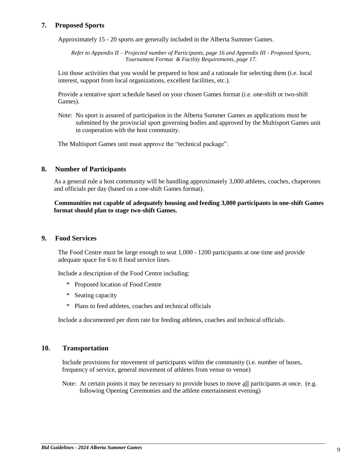# **7. Proposed Sports**

Approximately 15 - 20 sports are generally included in the Alberta Summer Games.

*Refer to Appendix II – Projected number of Participants, page 16 and Appendix III - Proposed Sports, Tournament Format & Facility Requirements, pag[e 17.](#page-16-0)*

List those activities that you would be prepared to host and a rationale for selecting them (i.e. local interest, support from local organizations, excellent facilities, etc.).

Provide a tentative sport schedule based on your chosen Games format (i.e. one-shift or two-shift Games).

Note: No sport is assured of participation in the Alberta Summer Games as applications must be submitted by the provincial sport governing bodies and approved by the Multisport Games unit in cooperation with the host community.

The Multisport Games unit must approve the "technical package".

#### **8. Number of Participants**

As a general rule a host community will be handling approximately 3,000 athletes, coaches, chaperones and officials per day (based on a one-shift Games format).

#### **Communities not capable of adequately housing and feeding 3,000 participants in one-shift Games format should plan to stage two-shift Games.**

#### **9. Food Services**

The Food Centre must be large enough to seat 1,000 - 1200 participants at one time and provide adequate space for 6 to 8 food service lines.

Include a description of the Food Centre including:

- \* Proposed location of Food Centre
- \* Seating capacity
- \* Plans to feed athletes, coaches and technical officials

Include a documented per diem rate for feeding athletes, coaches and technical officials.

## **10. Transportation**

Include provisions for movement of participants within the community (i.e. number of buses, frequency of service, general movement of athletes from venue to venue)

Note: At certain points it may be necessary to provide buses to move all participants at once. (e.g. following Opening Ceremonies and the athlete entertainment evening)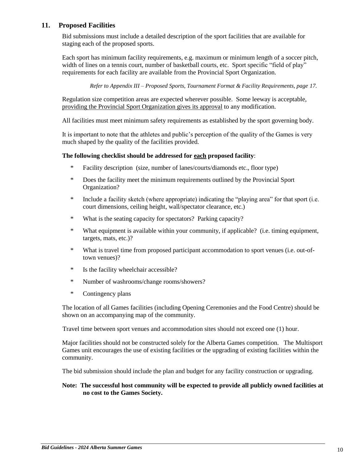# **11. Proposed Facilities**

Bid submissions must include a detailed description of the sport facilities that are available for staging each of the proposed sports.

Each sport has minimum facility requirements, e.g. maximum or minimum length of a soccer pitch, width of lines on a tennis court, number of basketball courts, etc. Sport specific "field of play" requirements for each facility are available from the Provincial Sport Organization.

*Refer to Appendix III – Proposed Sports, Tournament Format & Facility Requirements, pag[e 17.](#page-16-0)*

Regulation size competition areas are expected wherever possible. Some leeway is acceptable, providing the Provincial Sport Organization gives its approval to any modification.

All facilities must meet minimum safety requirements as established by the sport governing body.

It is important to note that the athletes and public's perception of the quality of the Games is very much shaped by the quality of the facilities provided.

#### **The following checklist should be addressed for each proposed facility**:

- \* Facility description (size, number of lanes/courts/diamonds etc., floor type)
- \* Does the facility meet the minimum requirements outlined by the Provincial Sport Organization?
- \* Include a facility sketch (where appropriate) indicating the "playing area" for that sport (i.e. court dimensions, ceiling height, wall/spectator clearance, etc.)
- \* What is the seating capacity for spectators? Parking capacity?
- \* What equipment is available within your community, if applicable? (i.e. timing equipment, targets, mats, etc.)?
- \* What is travel time from proposed participant accommodation to sport venues (i.e. out-oftown venues)?
- \* Is the facility wheelchair accessible?
- \* Number of washrooms/change rooms/showers?
- \* Contingency plans

The location of all Games facilities (including Opening Ceremonies and the Food Centre) should be shown on an accompanying map of the community.

Travel time between sport venues and accommodation sites should not exceed one (1) hour.

Major facilities should not be constructed solely for the Alberta Games competition. The Multisport Games unit encourages the use of existing facilities or the upgrading of existing facilities within the community.

The bid submission should include the plan and budget for any facility construction or upgrading.

#### **Note: The successful host community will be expected to provide all publicly owned facilities at no cost to the Games Society.**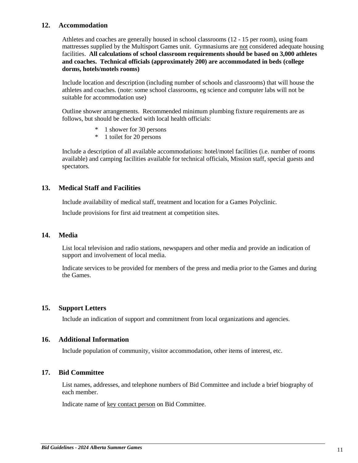## **12. Accommodation**

Athletes and coaches are generally housed in school classrooms (12 - 15 per room), using foam mattresses supplied by the Multisport Games unit. Gymnasiums are not considered adequate housing facilities. **All calculations of school classroom requirements should be based on 3,000 athletes and coaches. Technical officials (approximately 200) are accommodated in beds (college dorms, hotels/motels rooms)**

Include location and description (including number of schools and classrooms) that will house the athletes and coaches. (note: some school classrooms, eg science and computer labs will not be suitable for accommodation use)

Outline shower arrangements. Recommended minimum plumbing fixture requirements are as follows, but should be checked with local health officials:

- \* 1 shower for 30 persons
- \* 1 toilet for 20 persons

Include a description of all available accommodations: hotel/motel facilities (i.e. number of rooms available) and camping facilities available for technical officials, Mission staff, special guests and spectators.

# **13. Medical Staff and Facilities**

Include availability of medical staff, treatment and location for a Games Polyclinic.

Include provisions for first aid treatment at competition sites.

## **14. Media**

List local television and radio stations, newspapers and other media and provide an indication of support and involvement of local media.

Indicate services to be provided for members of the press and media prior to the Games and during the Games.

#### **15. Support Letters**

Include an indication of support and commitment from local organizations and agencies.

## **16. Additional Information**

Include population of community, visitor accommodation, other items of interest, etc.

#### **17. Bid Committee**

List names, addresses, and telephone numbers of Bid Committee and include a brief biography of each member.

Indicate name of key contact person on Bid Committee.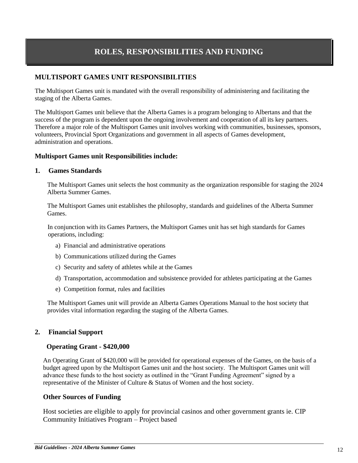# **ROLES, RESPONSIBILITIES AND FUNDING**

# **MULTISPORT GAMES UNIT RESPONSIBILITIES**

The Multisport Games unit is mandated with the overall responsibility of administering and facilitating the staging of the Alberta Games.

The Multisport Games unit believe that the Alberta Games is a program belonging to Albertans and that the success of the program is dependent upon the ongoing involvement and cooperation of all its key partners. Therefore a major role of the Multisport Games unit involves working with communities, businesses, sponsors, volunteers, Provincial Sport Organizations and government in all aspects of Games development, administration and operations.

## **Multisport Games unit Responsibilities include:**

#### **1. Games Standards**

The Multisport Games unit selects the host community as the organization responsible for staging the 2024 Alberta Summer Games.

The Multisport Games unit establishes the philosophy, standards and guidelines of the Alberta Summer Games.

In conjunction with its Games Partners, the Multisport Games unit has set high standards for Games operations, including:

- a) Financial and administrative operations
- b) Communications utilized during the Games
- c) Security and safety of athletes while at the Games
- d) Transportation, accommodation and subsistence provided for athletes participating at the Games
- e) Competition format, rules and facilities

The Multisport Games unit will provide an Alberta Games Operations Manual to the host society that provides vital information regarding the staging of the Alberta Games.

## **2. Financial Support**

#### **Operating Grant - \$420,000**

An Operating Grant of \$420,000 will be provided for operational expenses of the Games, on the basis of a budget agreed upon by the Multisport Games unit and the host society. The Multisport Games unit will advance these funds to the host society as outlined in the "Grant Funding Agreement" signed by a representative of the Minister of Culture & Status of Women and the host society.

#### **Other Sources of Funding**

Host societies are eligible to apply for provincial casinos and other government grants ie. CIP Community Initiatives Program – Project based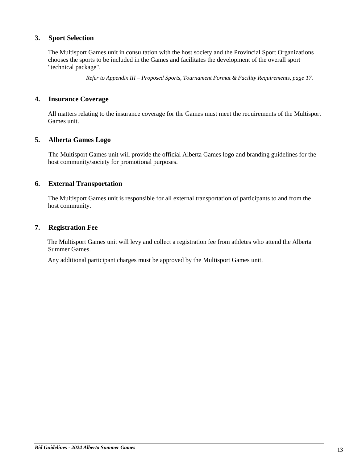## **3. Sport Selection**

The Multisport Games unit in consultation with the host society and the Provincial Sport Organizations chooses the sports to be included in the Games and facilitates the development of the overall sport "technical package".

*Refer to Appendix III – Proposed Sports, Tournament Format & Facility Requirements, page [17.](#page-16-0)*

## **4. Insurance Coverage**

All matters relating to the insurance coverage for the Games must meet the requirements of the Multisport Games unit.

## **5. Alberta Games Logo**

The Multisport Games unit will provide the official Alberta Games logo and branding guidelines for the host community/society for promotional purposes.

## **6. External Transportation**

The Multisport Games unit is responsible for all external transportation of participants to and from the host community.

#### **7. Registration Fee**

The Multisport Games unit will levy and collect a registration fee from athletes who attend the Alberta Summer Games.

Any additional participant charges must be approved by the Multisport Games unit.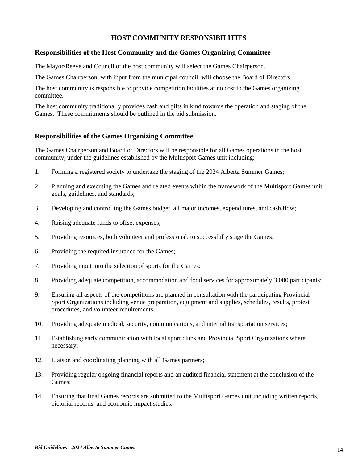# **HOST COMMUNITY RESPONSIBILITIES**

## **Responsibilities of the Host Community and the Games Organizing Committee**

The Mayor/Reeve and Council of the host community will select the Games Chairperson.

The Games Chairperson, with input from the municipal council, will choose the Board of Directors.

The host community is responsible to provide competition facilities at no cost to the Games organizing committee.

The host community traditionally provides cash and gifts in kind towards the operation and staging of the Games. These commitments should be outlined in the bid submission.

## **Responsibilities of the Games Organizing Committee**

The Games Chairperson and Board of Directors will be responsible for all Games operations in the host community, under the guidelines established by the Multisport Games unit including:

- 1. Forming a registered society to undertake the staging of the 2024 Alberta Summer Games;
- 2. Planning and executing the Games and related events within the framework of the Multisport Games unit goals, guidelines, and standards;
- 3. Developing and controlling the Games budget, all major incomes, expenditures, and cash flow;
- 4. Raising adequate funds to offset expenses;
- 5. Providing resources, both volunteer and professional, to successfully stage the Games;
- 6. Providing the required insurance for the Games;
- 7. Providing input into the selection of sports for the Games;
- 8. Providing adequate competition, accommodation and food services for approximately 3,000 participants;
- 9. Ensuring all aspects of the competitions are planned in consultation with the participating Provincial Sport Organizations including venue preparation, equipment and supplies, schedules, results, protest procedures, and volunteer requirements;
- 10. Providing adequate medical, security, communications, and internal transportation services;
- 11. Establishing early communication with local sport clubs and Provincial Sport Organizations where necessary;
- 12. Liaison and coordinating planning with all Games partners;
- 13. Providing regular ongoing financial reports and an audited financial statement at the conclusion of the Games;
- 14. Ensuring that final Games records are submitted to the Multisport Games unit including written reports, pictorial records, and economic impact studies.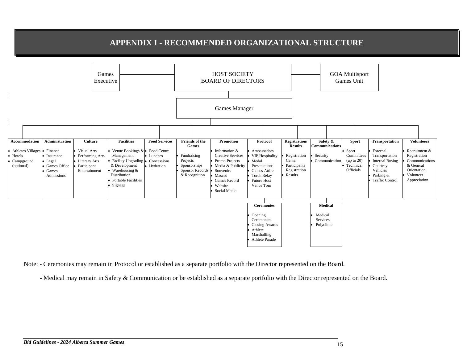# **APPENDIX I - RECOMMENDED ORGANIZATIONAL STRUCTURE**



Note: - Ceremonies may remain in Protocol or established as a separate portfolio with the Director represented on the Board.

<span id="page-14-0"></span>- Medical may remain in Safety & Communication or be established as a separate portfolio with the Director represented on the Board.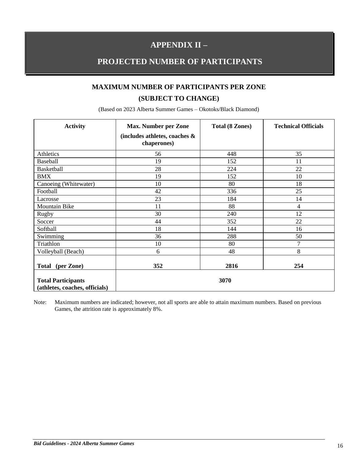# **APPENDIX II –**

# **PROJECTED NUMBER OF PARTICIPANTS**

# **MAXIMUM NUMBER OF PARTICIPANTS PER ZONE (SUBJECT TO CHANGE)**

| <b>Activity</b>                                             | <b>Max. Number per Zone</b><br>(includes athletes, coaches &<br>chaperones) | <b>Total (8 Zones)</b> | <b>Technical Officials</b> |
|-------------------------------------------------------------|-----------------------------------------------------------------------------|------------------------|----------------------------|
| Athletics                                                   | 56                                                                          | 448                    | 35                         |
| <b>Baseball</b>                                             | 19                                                                          | 152                    | 11                         |
| <b>Basketball</b>                                           | 28                                                                          | 224                    | 22                         |
| <b>BMX</b>                                                  | 19                                                                          | 152                    | 10                         |
| Canoeing (Whitewater)                                       | 10                                                                          | 80                     | 18                         |
| Football                                                    | 42                                                                          | 336                    | 25                         |
| Lacrosse                                                    | 23                                                                          | 184                    | 14                         |
| Mountain Bike                                               | 11                                                                          | 88                     | $\overline{4}$             |
| <b>Rugby</b>                                                | 30                                                                          | 240                    | 12                         |
| Soccer                                                      | 44                                                                          | 352                    | 22                         |
| Softball                                                    | 18                                                                          | 144                    | 16                         |
| Swimming                                                    | 36                                                                          | 288                    | 50                         |
| Triathlon                                                   | 10                                                                          | 80                     | $\tau$                     |
| Volleyball (Beach)                                          | 6                                                                           | 48                     | $8\,$                      |
| (per Zone)<br><b>Total</b>                                  | 352                                                                         | 2816                   | 254                        |
| <b>Total Participants</b><br>(athletes, coaches, officials) |                                                                             | 3070                   |                            |

(Based on 2023 Alberta Summer Games – Okotoks/Black Diamond)

Note: Maximum numbers are indicated; however, not all sports are able to attain maximum numbers. Based on previous Games, the attrition rate is approximately 8%.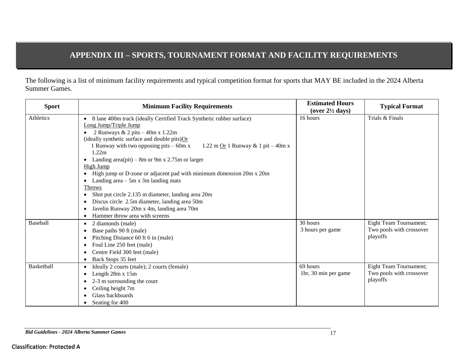# <span id="page-16-0"></span>**APPENDIX III – SPORTS, TOURNAMENT FORMAT AND FACILITY REQUIREMENTS**

The following is a list of minimum facility requirements and typical competition format for sports that MAY BE included in the 2024 Alberta Summer Games.

| <b>Sport</b>      | <b>Minimum Facility Requirements</b>                                                      | <b>Estimated Hours</b><br>(over $2\frac{1}{2}$ days) | <b>Typical Format</b>    |
|-------------------|-------------------------------------------------------------------------------------------|------------------------------------------------------|--------------------------|
| Athletics         | 8 lane 400m track (ideally Certified Track Synthetic rubber surface)                      | 16 hours                                             | Trials & Finals          |
|                   | Long Jump/Triple Jump                                                                     |                                                      |                          |
|                   | 2 Runways & 2 pits $-40m \times 1.22m$                                                    |                                                      |                          |
|                   | (ideally synthetic surface and double pits) $Or$                                          |                                                      |                          |
|                   | 1 Runway with two opposing pits $-60m x$<br>1.22 m $Qr$ 1 Runway & 1 pit – 40m x<br>1.22m |                                                      |                          |
|                   | • Landing area(pit) – 8m or 9m x 2.75m or larger                                          |                                                      |                          |
|                   | <b>High Jump</b>                                                                          |                                                      |                          |
|                   | High jump or D-zone or adjacent pad with minimum dimension 20m x 20m                      |                                                      |                          |
|                   | Landing area $-5m \times 3m$ landing mats                                                 |                                                      |                          |
|                   | <b>Throws</b>                                                                             |                                                      |                          |
|                   | Shot put circle 2.135 m diameter, landing area 20m                                        |                                                      |                          |
|                   | Discus circle 2.5m diameter, landing area 50m                                             |                                                      |                          |
|                   | Javelin Runway 20m x 4m, landing area 70m                                                 |                                                      |                          |
|                   | Hammer throw area with screens                                                            |                                                      |                          |
| <b>Baseball</b>   | 2 diamonds (male)<br>$\bullet$                                                            | 30 hours                                             | Eight Team Tournament;   |
|                   | Base paths 90 ft (male)                                                                   | 3 hours per game                                     | Two pools with crossover |
|                   | Pitching Distance 60 ft 6 in (male)                                                       |                                                      | playoffs                 |
|                   | Foul Line 250 feet (male)<br>٠                                                            |                                                      |                          |
|                   | Centre Field 300 feet (male)                                                              |                                                      |                          |
|                   | Back Stops 35 feet                                                                        |                                                      |                          |
| <b>Basketball</b> | Ideally 2 courts (male); 2 courts (female)<br>$\bullet$                                   | 69 hours                                             | Eight Team Tournament;   |
|                   | Length 28m x 15m                                                                          | 1hr, 30 min per game                                 | Two pools with crossover |
|                   | 2-3 m surrounding the court<br>٠                                                          |                                                      | playoffs                 |
|                   | Ceiling height 7m                                                                         |                                                      |                          |
|                   | Glass backboards                                                                          |                                                      |                          |
|                   | Seating for 400                                                                           |                                                      |                          |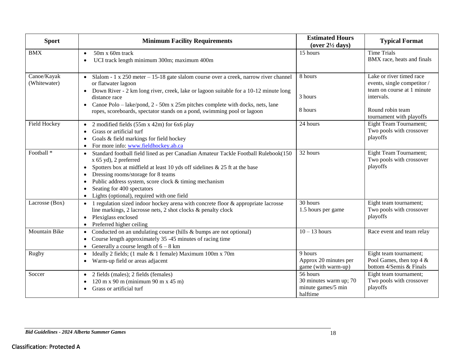| <b>Sport</b>                | <b>Minimum Facility Requirements</b>                                                                                                                                                                                                                                                                                                                                                                                    | <b>Estimated Hours</b><br>(over $2\frac{1}{2}$ days)                 | <b>Typical Format</b>                                                                                                                               |
|-----------------------------|-------------------------------------------------------------------------------------------------------------------------------------------------------------------------------------------------------------------------------------------------------------------------------------------------------------------------------------------------------------------------------------------------------------------------|----------------------------------------------------------------------|-----------------------------------------------------------------------------------------------------------------------------------------------------|
| <b>BMX</b>                  | 50m x 60m track<br>$\bullet$<br>UCI track length minimum 300m; maximum 400m<br>$\bullet$                                                                                                                                                                                                                                                                                                                                | 15 hours                                                             | <b>Time Trials</b><br>BMX race, heats and finals                                                                                                    |
| Canoe/Kayak<br>(Whitewater) | Slalom - $1 \times 250$ meter $-15-18$ gate slalom course over a creek, narrow river channel<br>$\bullet$<br>or flatwater lagoon<br>• Down River - 2 km long river, creek, lake or lagoon suitable for a 10-12 minute long<br>distance race<br>Canoe Polo – lake/pond, 2 - 50m x 25m pitches complete with docks, nets, lane<br>$\bullet$<br>ropes, scoreboards, spectator stands on a pond, swimming pool or lagoon    | 8 hours<br>3 hours<br>8 hours                                        | Lake or river timed race<br>events, single competitor /<br>team on course at 1 minute<br>intervals.<br>Round robin team<br>tournament with playoffs |
| Field Hockey                | 2 modified fields (55m x 42m) for 6x6 play<br>$\bullet$<br>Grass or artificial turf<br>$\bullet$<br>Goals & field markings for field hockey<br>$\bullet$<br>For more info: www.fieldhockey.ab.ca<br>$\bullet$                                                                                                                                                                                                           | 24 hours                                                             | Eight Team Tournament;<br>Two pools with crossover<br>playoffs                                                                                      |
| Football <sup>*</sup>       | Standard football field lined as per Canadian Amateur Tackle Football Rulebook(150<br>$\bullet$<br>$x$ 65 yd), 2 preferred<br>Spotters box at midfield at least 10 yds off sidelines & 25 ft at the base<br>٠<br>Dressing rooms/storage for 8 teams<br>٠<br>Public address system, score clock & timing mechanism<br>$\bullet$<br>Seating for 400 spectators<br>$\bullet$<br>Lights (optional), required with one field | 32 hours                                                             | Eight Team Tournament;<br>Two pools with crossover<br>playoffs                                                                                      |
| Lacrosse (Box)              | 1 regulation sized indoor hockey arena with concrete floor & appropriate lacrosse<br>$\bullet$<br>line markings, 2 lacrosse nets, 2 shot clocks & penalty clock<br>Plexiglass enclosed<br>$\bullet$<br>Preferred higher ceiling<br>$\bullet$                                                                                                                                                                            | 30 hours<br>1.5 hours per game                                       | Eight team tournament;<br>Two pools with crossover<br>playoffs                                                                                      |
| Mountain Bike               | Conducted on an undulating course (hills & bumps are not optional)<br>$\bullet$<br>Course length approximately 35 -45 minutes of racing time<br>Generally a course length of $6 - 8$ km<br>$\bullet$                                                                                                                                                                                                                    | $10 - 13$ hours                                                      | Race event and team relay                                                                                                                           |
| <b>Rugby</b>                | Ideally 2 fields; (1 male & 1 female) Maximum 100m x 70m<br>$\bullet$<br>Warm-up field or areas adjacent<br>$\bullet$                                                                                                                                                                                                                                                                                                   | 9 hours<br>Approx 20 minutes per<br>game (with warm-up)              | Eight team tournament;<br>Pool Games, then top 4 &<br>bottom 4/Semis & Finals                                                                       |
| Soccer                      | • 2 fields (males); 2 fields (females)<br>$120 \text{ m} \times 90 \text{ m}$ (minimum 90 m x 45 m)<br>Grass or artificial turf<br>$\bullet$                                                                                                                                                                                                                                                                            | 56 hours<br>30 minutes warm up; 70<br>minute games/5 min<br>halftime | Eight team tournament;<br>Two pools with crossover<br>playoffs                                                                                      |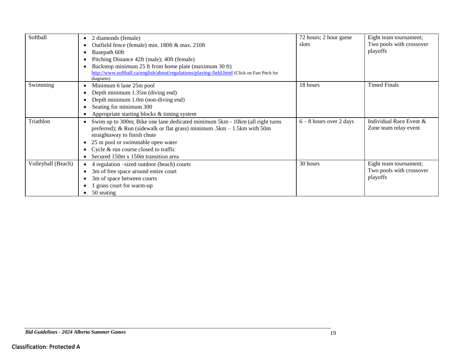| Softball           | 2 diamonds (female)                                                                                       | 72 hours; 2 hour game     | Eight team tournament;   |
|--------------------|-----------------------------------------------------------------------------------------------------------|---------------------------|--------------------------|
|                    | Outfield fence (female) min. 180ft & max. 210ft                                                           | slots                     | Two pools with crossover |
|                    | Basepath 60ft<br>٠                                                                                        |                           | playoffs                 |
|                    | Pitching Distance 42ft (male); 40ft (female)                                                              |                           |                          |
|                    | Backstop minimum 25 ft from home plate (maximum 30 ft)                                                    |                           |                          |
|                    | http://www.softball.ca/english/about/regulations/playing-field.html (Click on Fast Pitch for<br>diagrams) |                           |                          |
| Swimming           | Minimum 6 lane 25m pool<br>٠                                                                              | 18 hours                  | <b>Timed Finals</b>      |
|                    | Depth minimum 1.35m (diving end)                                                                          |                           |                          |
|                    | Depth minimum 1.0m (non-diving end)                                                                       |                           |                          |
|                    | Seating for minimum 300                                                                                   |                           |                          |
|                    | Appropriate starting blocks & timing system                                                               |                           |                          |
| Triathlon          | Swim up to 300m; Bike one lane dedicated minimum 5km - 10km (all right turns                              | $6 - 8$ hours over 2 days | Individual Race Event &  |
|                    | preferred); & Run (sidewalk or flat grass) minimum .5km $- 1.5$ km with 50m                               |                           | Zone team relay event    |
|                    | straightaway to finish chute                                                                              |                           |                          |
|                    | 25 m pool or swimmable open water<br>٠                                                                    |                           |                          |
|                    | Cycle & run course closed to traffic                                                                      |                           |                          |
|                    | Secured 150m x 150m transition area                                                                       |                           |                          |
| Volleyball (Beach) | 4 regulation –sized outdoor (beach) courts                                                                | 30 hours                  | Eight team tournament;   |
|                    | 3m of free space around entire court                                                                      |                           | Two pools with crossover |
|                    | 3m of space between courts                                                                                |                           | playoffs                 |
|                    | grass court for warm-up                                                                                   |                           |                          |
|                    | 50 seating                                                                                                |                           |                          |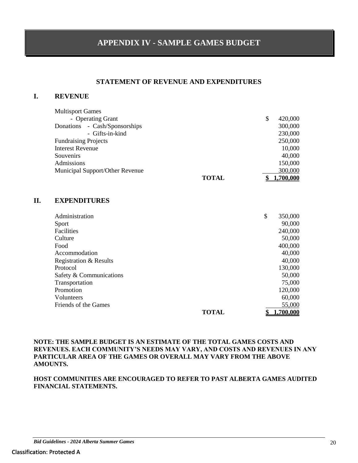# **APPENDIX IV - SAMPLE GAMES BUDGET**

## **STATEMENT OF REVENUE AND EXPENDITURES**

# **I. REVENUE**

| <b>Multisport Games</b>         |              |   |          |
|---------------------------------|--------------|---|----------|
| - Operating Grant               |              | S | 420,000  |
| Donations - Cash/Sponsorships   |              |   | 300,000  |
| - Gifts-in-kind                 |              |   | 230,000  |
| <b>Fundraising Projects</b>     |              |   | 250,000  |
| <b>Interest Revenue</b>         |              |   | 10,000   |
| Souvenirs                       |              |   | 40,000   |
| Admissions                      |              |   | 150,000  |
| Municipal Support/Other Revenue |              |   | 300,000  |
|                                 | <b>TOTAL</b> |   | .700.000 |

# **II. EXPENDITURES**

| Administration          |       | \$<br>350,000 |
|-------------------------|-------|---------------|
| <b>Sport</b>            |       | 90,000        |
| Facilities              |       | 240,000       |
| Culture                 |       | 50,000        |
| Food                    |       | 400,000       |
| Accommodation           |       | 40,000        |
| Registration & Results  |       | 40,000        |
| Protocol                |       | 130,000       |
| Safety & Communications |       | 50,000        |
| Transportation          |       | 75,000        |
| Promotion               |       | 120,000       |
| <b>Volunteers</b>       |       | 60,000        |
| Friends of the Games    |       | 55,000        |
|                         | TOTAL | .700.000      |

#### **NOTE: THE SAMPLE BUDGET IS AN ESTIMATE OF THE TOTAL GAMES COSTS AND REVENUES. EACH COMMUNITY'S NEEDS MAY VARY, AND COSTS AND REVENUES IN ANY PARTICULAR AREA OF THE GAMES OR OVERALL MAY VARY FROM THE ABOVE AMOUNTS.**

#### **HOST COMMUNITIES ARE ENCOURAGED TO REFER TO PAST ALBERTA GAMES AUDITED FINANCIAL STATEMENTS.**

*Bid Guidelines - 2024 Alberta Summer Games* 20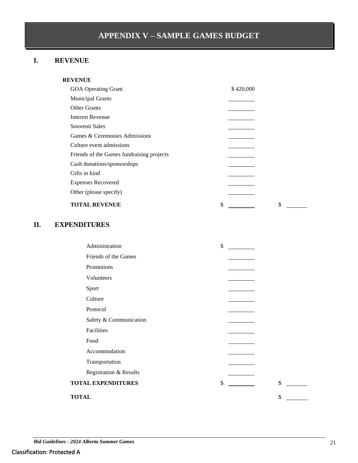# **APPENDIX V – SAMPLE GAMES BUDGET**

# **I. REVENUE**

| <b>GOA</b> Operating Grant                | \$420,000 |
|-------------------------------------------|-----------|
| <b>Municipal Grants</b>                   |           |
| <b>Other Grants</b>                       |           |
| Interest Revenue                          |           |
| Souvenir Sales                            |           |
| Games & Ceremonies Admissions             |           |
| Culture event admissions                  |           |
| Friends of the Games fundraising projects |           |
| Cash donations/sponsorships               |           |
| Gifts in kind                             |           |
| <b>Expenses Recovered</b>                 |           |
| Other (please specify)                    |           |
| <b>TOTAL REVENUE</b>                      | \$<br>\$  |

# **II. EXPENDITURES**

|              | Administration            | \$ |    |  |
|--------------|---------------------------|----|----|--|
|              | Friends of the Games      |    |    |  |
|              | Promotions                |    |    |  |
|              | Volunteers                |    |    |  |
|              | Sport                     |    |    |  |
|              | Culture                   |    |    |  |
|              | Protocol                  |    |    |  |
|              | Safety & Communication    |    |    |  |
|              | Facilities                |    |    |  |
|              | Food                      |    |    |  |
|              | Accommodation             |    |    |  |
|              | Transportation            |    |    |  |
|              | Registration & Results    |    |    |  |
|              | <b>TOTAL EXPENDITURES</b> | \$ | \$ |  |
| <b>TOTAL</b> |                           |    | \$ |  |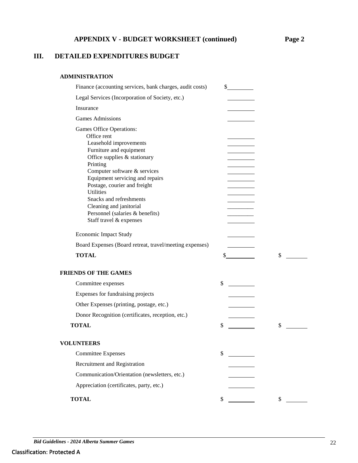# **APPENDIX V - BUDGET WORKSHEET (continued) Page 2**

# **III. DETAILED EXPENDITURES BUDGET**

#### **ADMINISTRATION**

| Finance (accounting services, bank charges, audit costs)                                                                                                                                                                                                                                                                                                                            | \$       |
|-------------------------------------------------------------------------------------------------------------------------------------------------------------------------------------------------------------------------------------------------------------------------------------------------------------------------------------------------------------------------------------|----------|
| Legal Services (Incorporation of Society, etc.)                                                                                                                                                                                                                                                                                                                                     |          |
| Insurance                                                                                                                                                                                                                                                                                                                                                                           |          |
| <b>Games Admissions</b>                                                                                                                                                                                                                                                                                                                                                             |          |
| Games Office Operations:<br>Office rent<br>Leasehold improvements<br>Furniture and equipment<br>Office supplies & stationary<br>Printing<br>Computer software & services<br>Equipment servicing and repairs<br>Postage, courier and freight<br><b>Utilities</b><br>Snacks and refreshments<br>Cleaning and janitorial<br>Personnel (salaries & benefits)<br>Staff travel & expenses |          |
| <b>Economic Impact Study</b>                                                                                                                                                                                                                                                                                                                                                        |          |
| Board Expenses (Board retreat, travel/meeting expenses)                                                                                                                                                                                                                                                                                                                             |          |
| <b>TOTAL</b>                                                                                                                                                                                                                                                                                                                                                                        | \$<br>\$ |
| <b>FRIENDS OF THE GAMES</b>                                                                                                                                                                                                                                                                                                                                                         |          |
| Committee expenses                                                                                                                                                                                                                                                                                                                                                                  | \$       |
| Expenses for fundraising projects                                                                                                                                                                                                                                                                                                                                                   |          |
| Other Expenses (printing, postage, etc.)                                                                                                                                                                                                                                                                                                                                            |          |
| Donor Recognition (certificates, reception, etc.)                                                                                                                                                                                                                                                                                                                                   |          |
| <b>TOTAL</b>                                                                                                                                                                                                                                                                                                                                                                        | \$<br>\$ |
| <b>VOLUNTEERS</b>                                                                                                                                                                                                                                                                                                                                                                   |          |
| <b>Committee Expenses</b>                                                                                                                                                                                                                                                                                                                                                           | \$       |
| Recruitment and Registration                                                                                                                                                                                                                                                                                                                                                        |          |
| Communication/Orientation (newsletters, etc.)                                                                                                                                                                                                                                                                                                                                       |          |
| Appreciation (certificates, party, etc.)                                                                                                                                                                                                                                                                                                                                            |          |
| <b>TOTAL</b>                                                                                                                                                                                                                                                                                                                                                                        | \$<br>\$ |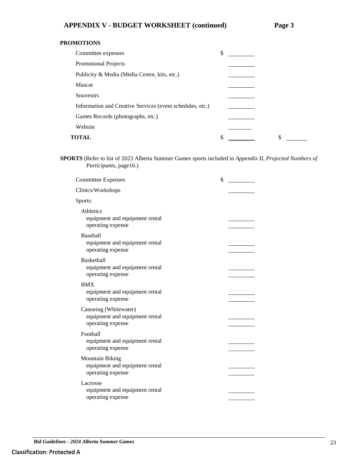## **PROMOTIONS**

| Committee expenses                                        | \$ |    |
|-----------------------------------------------------------|----|----|
| Promotional Projects                                      |    |    |
| Publicity & Media (Media Centre, kits, etc.)              |    |    |
| <b>Mascot</b>                                             |    |    |
| Souvenirs                                                 |    |    |
| Information and Creative Services (event schedules, etc.) |    |    |
| Games Records (photographs, etc.)                         |    |    |
| Website                                                   |    |    |
| <b>TOTAL</b>                                              | \$ | \$ |

**SPORTS** (Refer to list of 2023 Alberta Summer Games sports included in *Appendix II, Projected Numbers of Participants*, page16.)

| <b>Committee Expenses</b>                                                     | \$ |
|-------------------------------------------------------------------------------|----|
| Clinics/Workshops                                                             |    |
| Sports:                                                                       |    |
| Athletics<br>equipment and equipment rental<br>operating expense              |    |
| <b>Baseball</b><br>equipment and equipment rental<br>operating expense        |    |
| <b>Basketball</b><br>equipment and equipment rental<br>operating expense      |    |
| <b>BMX</b><br>equipment and equipment rental<br>operating expense             |    |
| Canoeing (Whitewater)<br>equipment and equipment rental<br>operating expense  |    |
| Football<br>equipment and equipment rental<br>operating expense               |    |
| <b>Mountain Biking</b><br>equipment and equipment rental<br>operating expense |    |
| Lacrosse<br>equipment and equipment rental<br>operating expense               |    |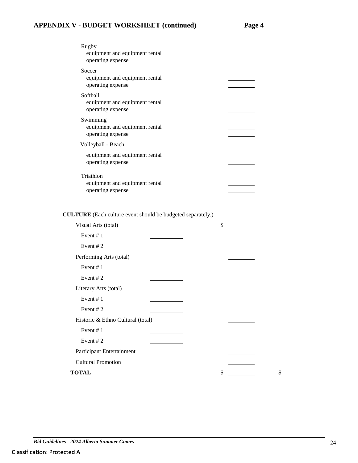# **APPENDIX V - BUDGET WORKSHEET (continued) Page 4**

| Rugby<br>equipment and equipment rental<br>operating expense     |  |
|------------------------------------------------------------------|--|
| Soccer<br>equipment and equipment rental<br>operating expense    |  |
| Softball<br>equipment and equipment rental<br>operating expense  |  |
| Swimming<br>equipment and equipment rental<br>operating expense  |  |
| Volleyball - Beach                                               |  |
| equipment and equipment rental<br>operating expense              |  |
| Triathlon<br>equipment and equipment rental<br>operating expense |  |

# **CULTURE** (Each culture event should be budgeted separately.)

| Visual Arts (total)               | \$ |    |  |
|-----------------------------------|----|----|--|
| Event #1                          |    |    |  |
| Event $#2$                        |    |    |  |
| Performing Arts (total)           |    |    |  |
| Event #1                          |    |    |  |
| Event $#2$                        |    |    |  |
| Literary Arts (total)             |    |    |  |
| Event #1                          |    |    |  |
| Event #2                          |    |    |  |
| Historic & Ethno Cultural (total) |    |    |  |
| Event $# 1$                       |    |    |  |
| Event $#2$                        |    |    |  |
| <b>Participant Entertainment</b>  |    |    |  |
| <b>Cultural Promotion</b>         |    |    |  |
| <b>TOTAL</b>                      | \$ | \$ |  |
|                                   |    |    |  |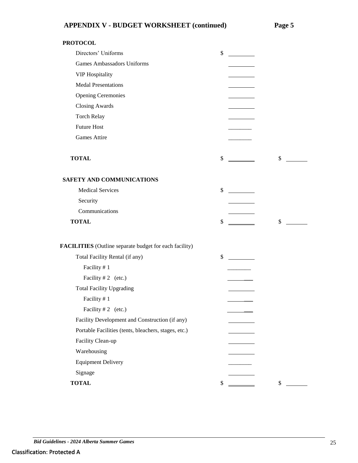**PROTOCOL**

| Directors' Uniforms                                    | \$       |
|--------------------------------------------------------|----------|
| <b>Games Ambassadors Uniforms</b>                      |          |
| <b>VIP Hospitality</b>                                 |          |
| <b>Medal Presentations</b>                             |          |
| <b>Opening Ceremonies</b>                              |          |
| <b>Closing Awards</b>                                  |          |
| <b>Torch Relay</b>                                     |          |
| <b>Future Host</b>                                     |          |
| Games Attire                                           |          |
| <b>TOTAL</b>                                           | \$<br>\$ |
| SAFETY AND COMMUNICATIONS                              |          |
| <b>Medical Services</b>                                | \$       |
| Security                                               |          |
| Communications                                         |          |
| <b>TOTAL</b>                                           | \$<br>\$ |
| FACILITIES (Outline separate budget for each facility) |          |
| Total Facility Rental (if any)                         | \$       |
| Facility #1                                            |          |
| Facility #2 (etc.)                                     |          |
| <b>Total Facility Upgrading</b>                        |          |
| Facility #1                                            |          |
| Facility $#2$ (etc.)                                   |          |
| Facility Development and Construction (if any)         |          |
| Portable Facilities (tents, bleachers, stages, etc.)   |          |
| Facility Clean-up                                      |          |
| Warehousing                                            |          |
| <b>Equipment Delivery</b>                              |          |
| Signage                                                |          |
| <b>TOTAL</b>                                           | \$<br>\$ |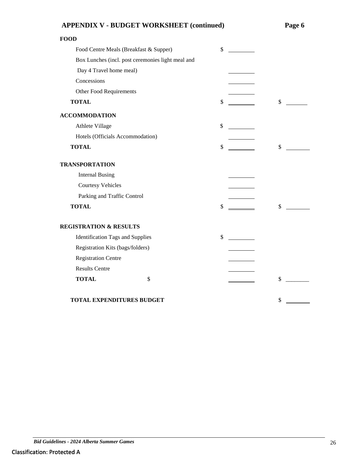| <b>APPENDIX V - BUDGET WORKSHEET (continued)</b>  |    | Page 6 |
|---------------------------------------------------|----|--------|
| <b>FOOD</b>                                       |    |        |
| Food Centre Meals (Breakfast & Supper)            | \$ |        |
| Box Lunches (incl. post ceremonies light meal and |    |        |
| Day 4 Travel home meal)                           |    |        |
| Concessions                                       |    |        |
| Other Food Requirements                           |    |        |
| <b>TOTAL</b>                                      | \$ | \$     |
| <b>ACCOMMODATION</b>                              |    |        |
| Athlete Village                                   | \$ |        |
| Hotels (Officials Accommodation)                  |    |        |
| <b>TOTAL</b>                                      | \$ | \$     |
| <b>TRANSPORTATION</b>                             |    |        |
| <b>Internal Busing</b>                            |    |        |
| <b>Courtesy Vehicles</b>                          |    |        |
| Parking and Traffic Control                       |    |        |
| <b>TOTAL</b>                                      | \$ | \$     |
| <b>REGISTRATION &amp; RESULTS</b>                 |    |        |
| <b>Identification Tags and Supplies</b>           | \$ |        |
| Registration Kits (bags/folders)                  |    |        |
| <b>Registration Centre</b>                        |    |        |
| <b>Results Centre</b>                             |    |        |
| <b>TOTAL</b>                                      | \$ | \$     |
|                                                   |    |        |
| TOTAL EXPENDITURES BUDGET                         |    | \$     |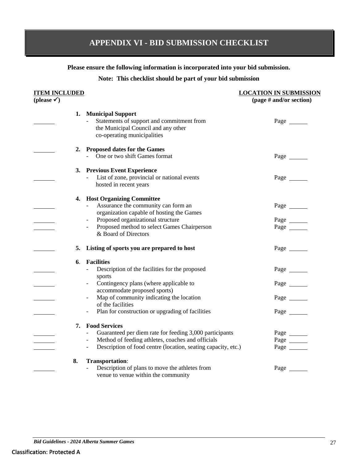# <span id="page-26-0"></span>**APPENDIX VI - BID SUBMISSION CHECKLIST**

**Please ensure the following information is incorporated into your bid submission.**

#### **Note: This checklist should be part of your bid submission**

# **ITEM INCLUDED LOCATION IN SUBMISSION (please ) (page # and/or section) 1. Municipal Support** - Statements of support and commitment from Page Page the Municipal Council and any other co-operating municipalities **2. Proposed dates for the Games** One or two shift Games format Page **3. Previous Event Experience** List of zone, provincial or national events Page hosted in recent years **4. Host Organizing Committee** Assurance the community can form an Page organization capable of hosting the Games - Proposed organizational structure Page Page Proposed method to select Games Chairperson Page & Board of Directors **5. Listing of sports you are prepared to host** Page **6**. **Facilities** - Description of the facilities for the proposed Page sports - Contingency plans (where applicable to Page accommodate proposed sports) - Map of community indicating the location Page Page of the facilities - Plan for construction or upgrading of facilities Page Page **7. Food Services** - Guaranteed per diem rate for feeding 3,000 participants Page Page Method of feeding athletes, coaches and officials Page Page - Description of food centre (location, seating capacity, etc.) Page \_\_\_\_\_\_ **8. Transportation**: - Description of plans to move the athletes from Page Page venue to venue within the community